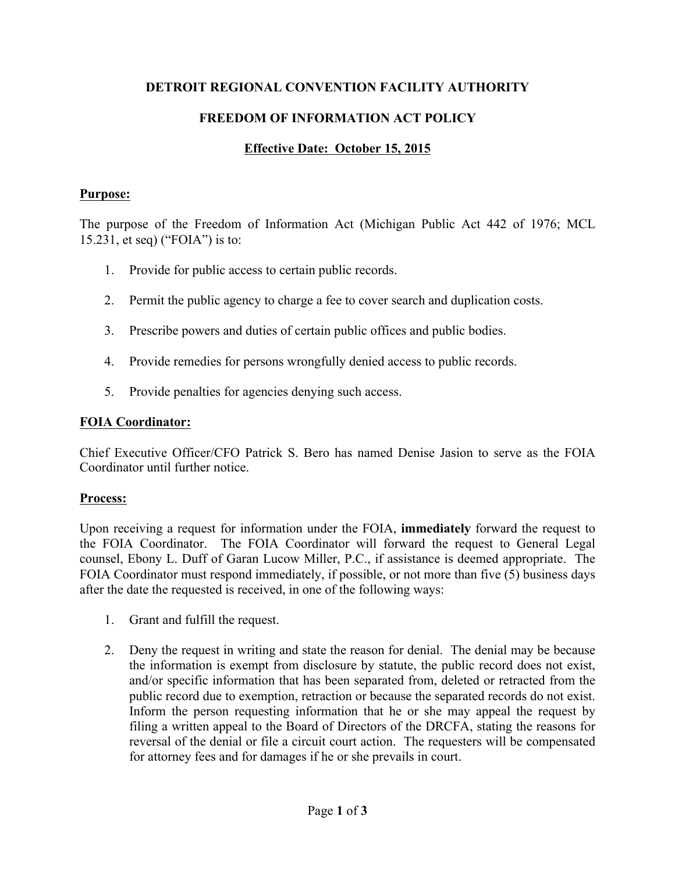#### **DETROIT REGIONAL CONVENTION FACILITY AUTHORITY**

# **FREEDOM OF INFORMATION ACT POLICY**

## **Effective Date: October 15, 2015**

#### **Purpose:**

The purpose of the Freedom of Information Act (Michigan Public Act 442 of 1976; MCL 15.231, et seq) ("FOIA") is to:

- 1. Provide for public access to certain public records.
- 2. Permit the public agency to charge a fee to cover search and duplication costs.
- 3. Prescribe powers and duties of certain public offices and public bodies.
- 4. Provide remedies for persons wrongfully denied access to public records.
- 5. Provide penalties for agencies denying such access.

## **FOIA Coordinator:**

Chief Executive Officer/CFO Patrick S. Bero has named Denise Jasion to serve as the FOIA Coordinator until further notice.

## **Process:**

Upon receiving a request for information under the FOIA, **immediately** forward the request to the FOIA Coordinator. The FOIA Coordinator will forward the request to General Legal counsel, Ebony L. Duff of Garan Lucow Miller, P.C., if assistance is deemed appropriate. The FOIA Coordinator must respond immediately, if possible, or not more than five (5) business days after the date the requested is received, in one of the following ways:

- 1. Grant and fulfill the request.
- 2. Deny the request in writing and state the reason for denial. The denial may be because the information is exempt from disclosure by statute, the public record does not exist, and/or specific information that has been separated from, deleted or retracted from the public record due to exemption, retraction or because the separated records do not exist. Inform the person requesting information that he or she may appeal the request by filing a written appeal to the Board of Directors of the DRCFA, stating the reasons for reversal of the denial or file a circuit court action. The requesters will be compensated for attorney fees and for damages if he or she prevails in court.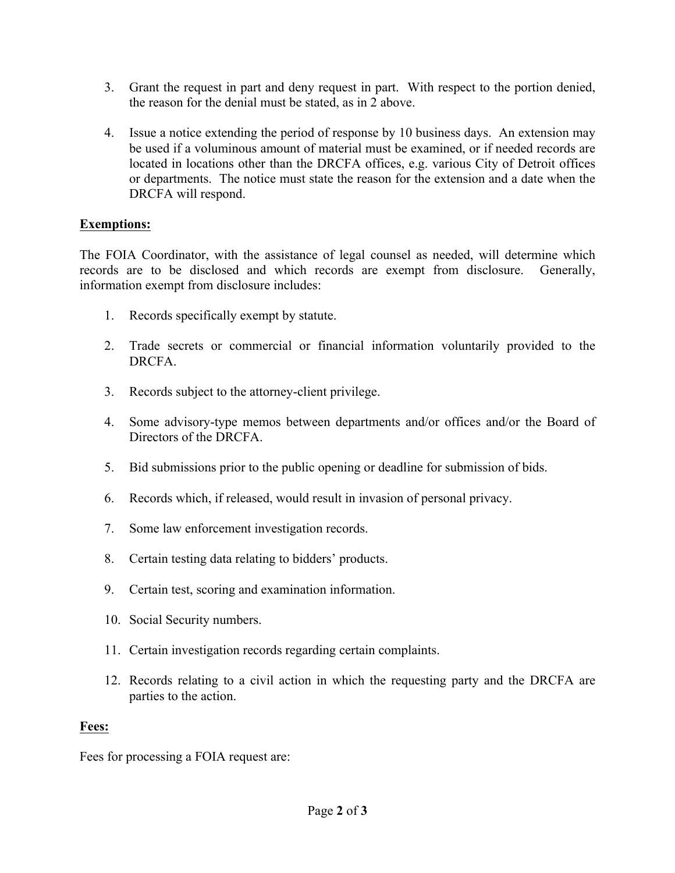- 3. Grant the request in part and deny request in part. With respect to the portion denied, the reason for the denial must be stated, as in 2 above.
- 4. Issue a notice extending the period of response by 10 business days. An extension may be used if a voluminous amount of material must be examined, or if needed records are located in locations other than the DRCFA offices, e.g. various City of Detroit offices or departments. The notice must state the reason for the extension and a date when the DRCFA will respond.

# **Exemptions:**

The FOIA Coordinator, with the assistance of legal counsel as needed, will determine which records are to be disclosed and which records are exempt from disclosure. Generally, information exempt from disclosure includes:

- 1. Records specifically exempt by statute.
- 2. Trade secrets or commercial or financial information voluntarily provided to the **DRCFA**
- 3. Records subject to the attorney-client privilege.
- 4. Some advisory-type memos between departments and/or offices and/or the Board of Directors of the DRCFA.
- 5. Bid submissions prior to the public opening or deadline for submission of bids.
- 6. Records which, if released, would result in invasion of personal privacy.
- 7. Some law enforcement investigation records.
- 8. Certain testing data relating to bidders' products.
- 9. Certain test, scoring and examination information.
- 10. Social Security numbers.
- 11. Certain investigation records regarding certain complaints.
- 12. Records relating to a civil action in which the requesting party and the DRCFA are parties to the action.

#### **Fees:**

Fees for processing a FOIA request are: